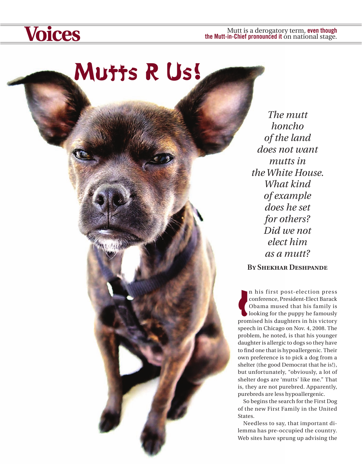## Mutts R Us!

*The mutt honcho of the land does not want mutts in the White House. What kind of example does he set for others? Did we not elect him as a mutt?*

**By Shekhar Deshpande**

In his first post-election press<br>
conference, President-Elect Barack<br>
Obama mused that his family is<br>
looking for the puppy he famously<br>
promised his daughters in his victory n his first post-election press conference, President-Elect Barack Obama mused that his family is looking for the puppy he famously speech in Chicago on Nov. 4, 2008. The problem, he noted, is that his younger daughter is allergic to dogs so they have to find one that is hypoallergenic. Their own preference is to pick a dog from a shelter (the good Democrat that he is!), but unfortunately, "obviously, a lot of shelter dogs are 'mutts' like me." That is, they are not purebred. Apparently, purebreds are less hypoallergenic.

So begins the search for the First Dog of the new First Family in the United States.

Needless to say, that important dilemma has pre-occupied the country. Web sites have sprung up advising the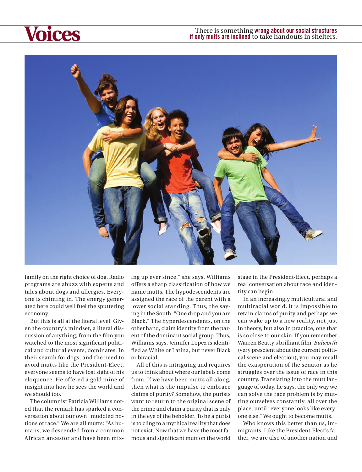## There is something wrong about our social structures if only mutts are inclined to take handouts in shelters. **if only mutts are inclined** to take handouts in shelters.



family on the right choice of dog. Radio programs are abuzz with experts and tales about dogs and allergies. Everyone is chiming in. The energy generated here could well fuel the sputtering economy.

But this is all at the literal level. Given the country's mindset, a literal discussion of anything, from the film you watched to the most significant political and cultural events, dominates. In their search for dogs, and the need to avoid mutts like the President-Elect, everyone seems to have lost sight of his eloquence. He offered a gold mine of insight into how he sees the world and we should too.

The columnist Patricia Williams noted that the remark has sparked a conversation about our own "muddled notions of race." We are all mutts: "As humans, we descended from a common African ancestor and have been mixing up ever since," she says. Williams offers a sharp classification of how we name mutts. The hypodescendents are assigned the race of the parent with a lower social standing. Thus, the saying in the South: "One drop and you are Black." The hyperdescendents, on the other hand, claim identity from the parent of the dominant social group. Thus, Williams says, Jennifer Lopez is identified as White or Latina, but never Black or biracial.

All of this is intriguing and requires us to think about where our labels come from. If we have been mutts all along, then what is the impulse to embrace claims of purity? Somehow, the purists want to return to the original scene of the crime and claim a purity that is only in the eye of the beholder. To be a purist is to cling to a mythical reality that does not exist. Now that we have the most famous and significant mutt on the world

stage in the President-Elect, perhaps a real conversation about race and identity can begin.

In an increasingly multicultural and multiracial world, it is impossible to retain claims of purity and perhaps we can wake up to a new reality, not just in theory, but also in practice, one that is so close to our skin. If you remember Warren Beatty's brilliant film, *Bulworth* (very prescient about the current political scene and election), you may recall the exasperation of the senator as he struggles over the issue of race in this country. Translating into the mutt language of today, he says, the only way we can solve the race problem is by mutting ourselves constantly, all over the place, until "everyone looks like everyone else." We ought to become mutts.

Who knows this better than us, immigrants. Like the President-Elect's father, we are also of another nation and